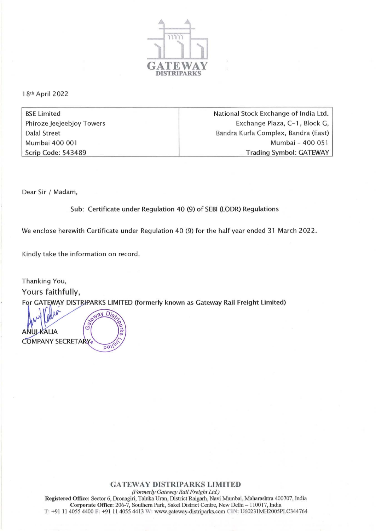

18th April 2022

BSE Limited Phiroze Jeejeebjoy Towers Dalal Street Mumbai 400 001 Scrip Code: 543489

National Stock Exchange of India Ltd. Exchange Plaza, C-1, Block G, Bandra Kurla Complex, Bandra (East) Mumbai - 400 051 Trading Symbol: GATEWAY

Dear Sir / Madam,

Sub: Certificate under Regulation 40 (9) of SEBI (LODR) Regulations

We enclose herewith Certificate under Regulation 40 (9) for the half year ended 31 March 2022.

Kindly take the information on record.

Thanking You, Yours faithfully, For GATEWAY DISTRIPARKS LIMITED (formerly known as Gateway Rail Freight Limited)

Way D  $\widehat{G}$ **ALIA COMPANY SECRETARY** 

**GATEWAY DISTRIPARKS LIMITED** *(Fom,.r/y Gateway Rail Freight Ltd.)*  **Registered Office: Sector 6, Dronagiri, Taluka Uran, District Raigarh, Navi Murnbai, Maharashtra 400707. India**  Corporate Office: 206-7, Southern Park, Saket District Centre, New Delhi - 110017, India T: +91 11 4055 4400 F: +91 11 4055 4413 W: www.gateway-distriparks.com CIN: U60231MH2005PLC344764